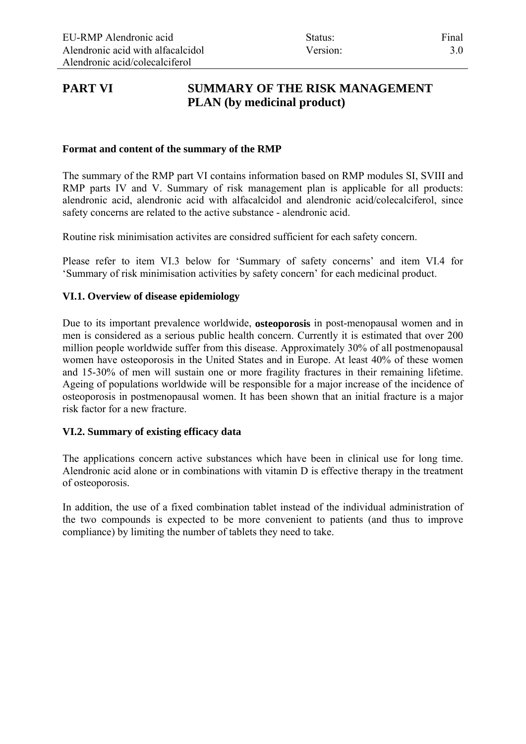# **PART VI SUMMARY OF THE RISK MANAGEMENT PLAN (by medicinal product)**

### **Format and content of the summary of the RMP**

The summary of the RMP part VI contains information based on RMP modules SI, SVIII and RMP parts IV and V. Summary of risk management plan is applicable for all products: alendronic acid, alendronic acid with alfacalcidol and alendronic acid/colecalciferol, since safety concerns are related to the active substance - alendronic acid.

Routine risk minimisation activites are considred sufficient for each safety concern.

Please refer to item VI.3 below for 'Summary of safety concerns' and item VI.4 for 'Summary of risk minimisation activities by safety concern' for each medicinal product.

## **VI.1. Overview of disease epidemiology**

Due to its important prevalence worldwide, **osteoporosis** in post-menopausal women and in men is considered as a serious public health concern. Currently it is estimated that over 200 million people worldwide suffer from this disease. Approximately 30% of all postmenopausal women have osteoporosis in the United States and in Europe. At least 40% of these women and 15-30% of men will sustain one or more fragility fractures in their remaining lifetime. Ageing of populations worldwide will be responsible for a major increase of the incidence of osteoporosis in postmenopausal women. It has been shown that an initial fracture is a major risk factor for a new fracture.

#### **VI.2. Summary of existing efficacy data**

The applications concern active substances which have been in clinical use for long time. Alendronic acid alone or in combinations with vitamin D is effective therapy in the treatment of osteoporosis.

In addition, the use of a fixed combination tablet instead of the individual administration of the two compounds is expected to be more convenient to patients (and thus to improve compliance) by limiting the number of tablets they need to take.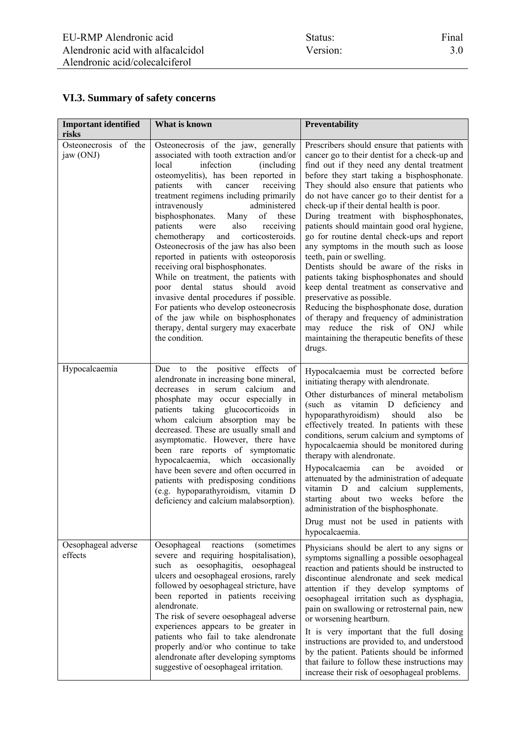# **VI.3. Summary of safety concerns**

| <b>Important identified</b><br>risks | What is known                                                                                                                                                                                                                                                                                                                                                                                                                                                                                                                                                                                                                                                                                                                                                                                                    | Preventability                                                                                                                                                                                                                                                                                                                                                                                                                                                                                                                                                                                                                                                                                                                                                                                                                                                                                                  |  |
|--------------------------------------|------------------------------------------------------------------------------------------------------------------------------------------------------------------------------------------------------------------------------------------------------------------------------------------------------------------------------------------------------------------------------------------------------------------------------------------------------------------------------------------------------------------------------------------------------------------------------------------------------------------------------------------------------------------------------------------------------------------------------------------------------------------------------------------------------------------|-----------------------------------------------------------------------------------------------------------------------------------------------------------------------------------------------------------------------------------------------------------------------------------------------------------------------------------------------------------------------------------------------------------------------------------------------------------------------------------------------------------------------------------------------------------------------------------------------------------------------------------------------------------------------------------------------------------------------------------------------------------------------------------------------------------------------------------------------------------------------------------------------------------------|--|
| Osteonecrosis of the<br>jaw (ONJ)    | Osteonecrosis of the jaw, generally<br>associated with tooth extraction and/or<br>infection<br>local<br>(including<br>osteomyelitis), has been reported in<br>patients with<br>cancer<br>receiving<br>treatment regimens including primarily<br>intravenously<br>administered<br>of these<br>bisphosphonates.<br>Many<br>patients<br>also<br>were<br>receiving<br>corticosteroids.<br>chemotherapy<br>and<br>Osteonecrosis of the jaw has also been<br>reported in patients with osteoporosis<br>receiving oral bisphosphonates.<br>While on treatment, the patients with<br>dental<br>should<br>status<br>avoid<br>poor<br>invasive dental procedures if possible.<br>For patients who develop osteonecrosis<br>of the jaw while on bisphosphonates<br>therapy, dental surgery may exacerbate<br>the condition. | Prescribers should ensure that patients with<br>cancer go to their dentist for a check-up and<br>find out if they need any dental treatment<br>before they start taking a bisphosphonate.<br>They should also ensure that patients who<br>do not have cancer go to their dentist for a<br>check-up if their dental health is poor.<br>During treatment with bisphosphonates,<br>patients should maintain good oral hygiene,<br>go for routine dental check-ups and report<br>any symptoms in the mouth such as loose<br>teeth, pain or swelling.<br>Dentists should be aware of the risks in<br>patients taking bisphosphonates and should<br>keep dental treatment as conservative and<br>preservative as possible.<br>Reducing the bisphosphonate dose, duration<br>of therapy and frequency of administration<br>may reduce the risk of ONJ while<br>maintaining the therapeutic benefits of these<br>drugs. |  |
| Hypocalcaemia                        | to the positive effects of<br>Due<br>alendronate in increasing bone mineral,<br>in<br>serum calcium<br>decreases<br>and<br>phosphate may occur especially in<br>patients taking glucocorticoids<br>in<br>whom calcium absorption may<br>be<br>decreased. These are usually small and<br>asymptomatic. However, there have<br>been rare reports of symptomatic<br>hypocalcaemia, which occasionally<br>have been severe and often occurred in<br>patients with predisposing conditions<br>(e.g. hypoparathyroidism, vitamin D<br>deficiency and calcium malabsorption).                                                                                                                                                                                                                                           | Hypocalcaemia must be corrected before<br>initiating therapy with alendronate.<br>Other disturbances of mineral metabolism<br>(such<br>vitamin D<br>deficiency<br>as<br>and<br>hypoparathyroidism)<br>should<br>also<br>be<br>effectively treated. In patients with these<br>conditions, serum calcium and symptoms of<br>hypocalcaemia should be monitored during<br>therapy with alendronate.<br>Hypocalcaemia<br>be<br>avoided<br>can<br><sub>or</sub><br>attenuated by the administration of adequate<br>vitamin D and<br>calcium<br>supplements,<br>about two weeks before the<br>starting<br>administration of the bisphosphonate.<br>Drug must not be used in patients with<br>hypocalcaemia.                                                                                                                                                                                                            |  |
| Oesophageal adverse<br>effects       | reactions<br>(sometimes<br>Oesophageal<br>severe and requiring hospitalisation),<br>such as oesophagitis, oesophageal<br>ulcers and oesophageal erosions, rarely<br>followed by oesophageal stricture, have<br>been reported in patients receiving<br>alendronate.<br>The risk of severe oesophageal adverse<br>experiences appears to be greater in<br>patients who fail to take alendronate<br>properly and/or who continue to take<br>alendronate after developing symptoms<br>suggestive of oesophageal irritation.                                                                                                                                                                                                                                                                                          | Physicians should be alert to any signs or<br>symptoms signalling a possible oesophageal<br>reaction and patients should be instructed to<br>discontinue alendronate and seek medical<br>attention if they develop symptoms of<br>oesophageal irritation such as dysphagia,<br>pain on swallowing or retrosternal pain, new<br>or worsening heartburn.<br>It is very important that the full dosing<br>instructions are provided to, and understood<br>by the patient. Patients should be informed<br>that failure to follow these instructions may<br>increase their risk of oesophageal problems.                                                                                                                                                                                                                                                                                                             |  |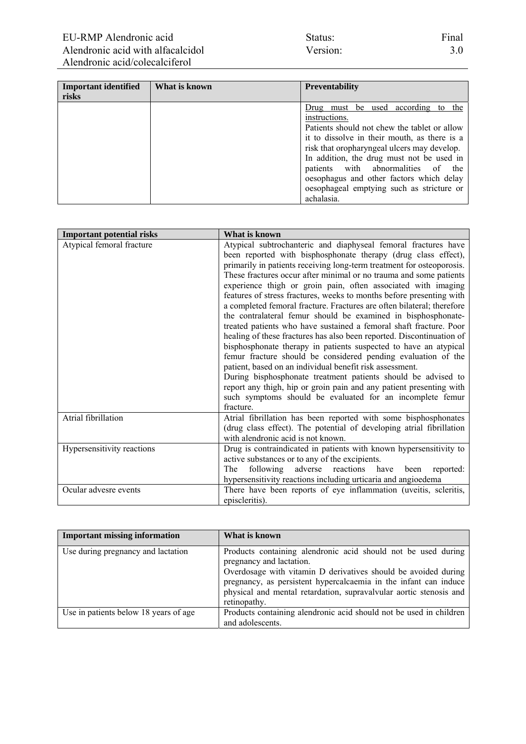| Status:  |  |  |
|----------|--|--|
| Version: |  |  |

| <b>Important identified</b> | What is known | <b>Preventability</b>                        |  |
|-----------------------------|---------------|----------------------------------------------|--|
| risks                       |               |                                              |  |
|                             |               | Drug must be used according to the           |  |
|                             |               | instructions.                                |  |
|                             |               | Patients should not chew the tablet or allow |  |
|                             |               | it to dissolve in their mouth, as there is a |  |
|                             |               | risk that oropharyngeal ulcers may develop.  |  |
|                             |               | In addition, the drug must not be used in    |  |
|                             |               | patients with abnormalities of the           |  |
|                             |               | oesophagus and other factors which delay     |  |
|                             |               | oesophageal emptying such as stricture or    |  |
|                             |               | achalasia.                                   |  |

| <b>Important potential risks</b> | What is known                                                                                                                                                                                                                                                                                                                                                                                                                                                                                                                                                                                                                                                                                                                                                                                                                                                                                                                                                                                                                                                                                                                         |  |
|----------------------------------|---------------------------------------------------------------------------------------------------------------------------------------------------------------------------------------------------------------------------------------------------------------------------------------------------------------------------------------------------------------------------------------------------------------------------------------------------------------------------------------------------------------------------------------------------------------------------------------------------------------------------------------------------------------------------------------------------------------------------------------------------------------------------------------------------------------------------------------------------------------------------------------------------------------------------------------------------------------------------------------------------------------------------------------------------------------------------------------------------------------------------------------|--|
| Atypical femoral fracture        | Atypical subtrochanteric and diaphyseal femoral fractures have<br>been reported with bisphosphonate therapy (drug class effect),<br>primarily in patients receiving long-term treatment for osteoporosis.<br>These fractures occur after minimal or no trauma and some patients<br>experience thigh or groin pain, often associated with imaging<br>features of stress fractures, weeks to months before presenting with<br>a completed femoral fracture. Fractures are often bilateral; therefore<br>the contralateral femur should be examined in bisphosphonate-<br>treated patients who have sustained a femoral shaft fracture. Poor<br>healing of these fractures has also been reported. Discontinuation of<br>bisphosphonate therapy in patients suspected to have an atypical<br>femur fracture should be considered pending evaluation of the<br>patient, based on an individual benefit risk assessment.<br>During bisphosphonate treatment patients should be advised to<br>report any thigh, hip or groin pain and any patient presenting with<br>such symptoms should be evaluated for an incomplete femur<br>fracture. |  |
| Atrial fibrillation              | Atrial fibrillation has been reported with some bisphosphonates<br>(drug class effect). The potential of developing atrial fibrillation<br>with alendronic acid is not known.                                                                                                                                                                                                                                                                                                                                                                                                                                                                                                                                                                                                                                                                                                                                                                                                                                                                                                                                                         |  |
| Hypersensitivity reactions       | Drug is contraindicated in patients with known hypersensitivity to<br>active substances or to any of the excipients.<br>following adverse reactions have been<br>The<br>reported:<br>hypersensitivity reactions including urticaria and angioedema                                                                                                                                                                                                                                                                                                                                                                                                                                                                                                                                                                                                                                                                                                                                                                                                                                                                                    |  |
| Ocular advesre events            | There have been reports of eye inflammation (uveitis, scleritis,<br>episcleritis).                                                                                                                                                                                                                                                                                                                                                                                                                                                                                                                                                                                                                                                                                                                                                                                                                                                                                                                                                                                                                                                    |  |

| <b>Important missing information</b>  | What is known                                                                                                                                                                                                                                                                                                         |
|---------------------------------------|-----------------------------------------------------------------------------------------------------------------------------------------------------------------------------------------------------------------------------------------------------------------------------------------------------------------------|
| Use during pregnancy and lactation    | Products containing alendronic acid should not be used during<br>pregnancy and lactation.<br>Overdosage with vitamin D derivatives should be avoided during<br>pregnancy, as persistent hypercalcaemia in the infant can induce<br>physical and mental retardation, supravalvular aortic stenosis and<br>retinopathy. |
| Use in patients below 18 years of age | Products containing alendronic acid should not be used in children<br>and adolescents.                                                                                                                                                                                                                                |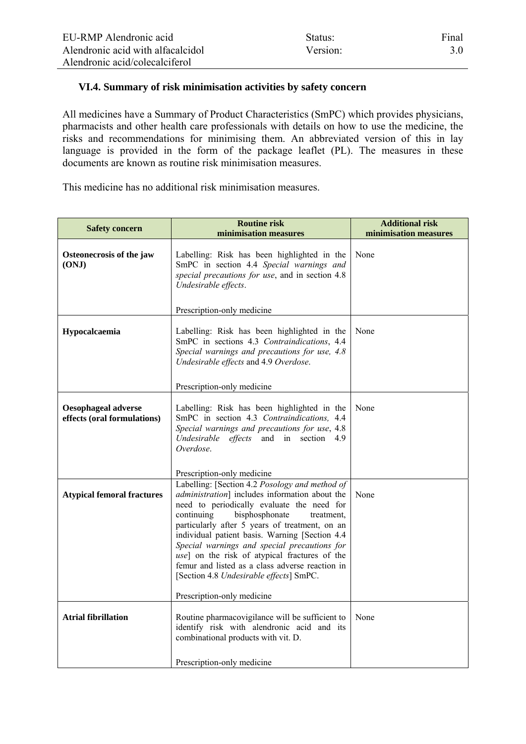## **VI.4. Summary of risk minimisation activities by safety concern**

All medicines have a Summary of Product Characteristics (SmPC) which provides physicians, pharmacists and other health care professionals with details on how to use the medicine, the risks and recommendations for minimising them. An abbreviated version of this in lay language is provided in the form of the package leaflet (PL). The measures in these documents are known as routine risk minimisation measures.

This medicine has no additional risk minimisation measures.

| <b>Routine risk</b><br><b>Safety concern</b>              |                                                                                                                                                                                                                                                                                                                                                                                                                                                                                                  | <b>Additional risk</b> |  |
|-----------------------------------------------------------|--------------------------------------------------------------------------------------------------------------------------------------------------------------------------------------------------------------------------------------------------------------------------------------------------------------------------------------------------------------------------------------------------------------------------------------------------------------------------------------------------|------------------------|--|
|                                                           | minimisation measures                                                                                                                                                                                                                                                                                                                                                                                                                                                                            | minimisation measures  |  |
| Osteonecrosis of the jaw<br>(ONJ)                         | Labelling: Risk has been highlighted in the<br>SmPC in section 4.4 Special warnings and<br>special precautions for use, and in section 4.8<br>Undesirable effects.                                                                                                                                                                                                                                                                                                                               | None                   |  |
|                                                           | Prescription-only medicine                                                                                                                                                                                                                                                                                                                                                                                                                                                                       |                        |  |
| Hypocalcaemia                                             | Labelling: Risk has been highlighted in the<br>SmPC in sections 4.3 Contraindications, 4.4<br>Special warnings and precautions for use, 4.8<br>Undesirable effects and 4.9 Overdose.                                                                                                                                                                                                                                                                                                             | None                   |  |
|                                                           | Prescription-only medicine                                                                                                                                                                                                                                                                                                                                                                                                                                                                       |                        |  |
| <b>Oesophageal adverse</b><br>effects (oral formulations) | Labelling: Risk has been highlighted in the<br>SmPC in section 4.3 Contraindications, 4.4<br>Special warnings and precautions for use, 4.8<br>Undesirable effects and in section 4.9<br>Overdose.                                                                                                                                                                                                                                                                                                | None                   |  |
|                                                           | Prescription-only medicine                                                                                                                                                                                                                                                                                                                                                                                                                                                                       |                        |  |
| <b>Atypical femoral fractures</b>                         | Labelling: [Section 4.2 Posology and method of<br>administration] includes information about the<br>need to periodically evaluate the need for<br>continuing<br>bisphosphonate<br>treatment.<br>particularly after 5 years of treatment, on an<br>individual patient basis. Warning [Section 4.4]<br>Special warnings and special precautions for<br>use] on the risk of atypical fractures of the<br>femur and listed as a class adverse reaction in<br>[Section 4.8 Undesirable effects] SmPC. | None                   |  |
|                                                           | Prescription-only medicine                                                                                                                                                                                                                                                                                                                                                                                                                                                                       |                        |  |
| <b>Atrial fibrillation</b>                                | Routine pharmacovigilance will be sufficient to<br>identify risk with alendronic acid and its<br>combinational products with vit. D.<br>Prescription-only medicine                                                                                                                                                                                                                                                                                                                               | None                   |  |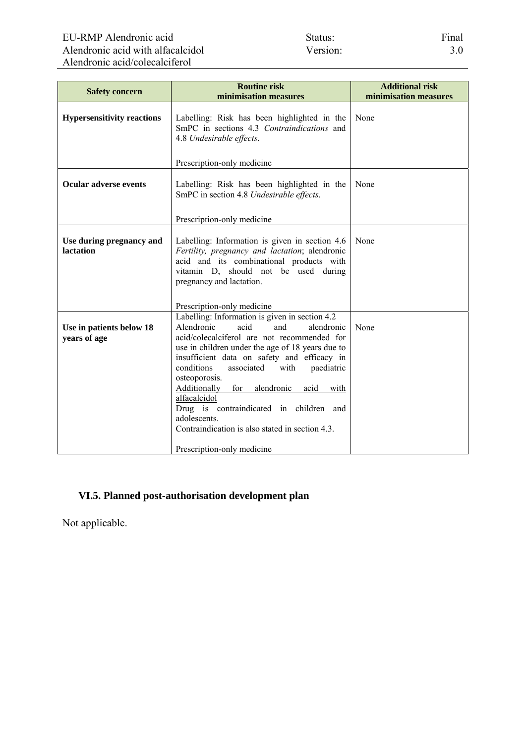| <b>Safety concern</b>                        | <b>Routine risk</b><br>minimisation measures                                                                                                                                                                                                                                                                                                                                                                                                                                                                              | <b>Additional risk</b><br>minimisation measures |
|----------------------------------------------|---------------------------------------------------------------------------------------------------------------------------------------------------------------------------------------------------------------------------------------------------------------------------------------------------------------------------------------------------------------------------------------------------------------------------------------------------------------------------------------------------------------------------|-------------------------------------------------|
| <b>Hypersensitivity reactions</b>            | Labelling: Risk has been highlighted in the<br>SmPC in sections 4.3 Contraindications and<br>4.8 Undesirable effects.                                                                                                                                                                                                                                                                                                                                                                                                     | None                                            |
|                                              | Prescription-only medicine                                                                                                                                                                                                                                                                                                                                                                                                                                                                                                |                                                 |
| <b>Ocular adverse events</b>                 | Labelling: Risk has been highlighted in the<br>SmPC in section 4.8 Undesirable effects.                                                                                                                                                                                                                                                                                                                                                                                                                                   | None                                            |
|                                              | Prescription-only medicine                                                                                                                                                                                                                                                                                                                                                                                                                                                                                                |                                                 |
| Use during pregnancy and<br><b>lactation</b> | Labelling: Information is given in section 4.6<br>Fertility, pregnancy and lactation; alendronic<br>acid and its combinational products with<br>vitamin D, should not be used during<br>pregnancy and lactation.<br>Prescription-only medicine                                                                                                                                                                                                                                                                            | None                                            |
| Use in patients below 18<br>years of age     | Labelling: Information is given in section 4.2<br>Alendronic<br>acid<br>and<br>alendronic<br>acid/colecalciferol are not recommended for<br>use in children under the age of 18 years due to<br>insufficient data on safety and efficacy in<br>conditions<br>associated<br>with<br>paediatric<br>osteoporosis.<br>Additionally for alendronic<br>acid<br>with<br>alfacalcidol<br>Drug is contraindicated in children and<br>adolescents.<br>Contraindication is also stated in section 4.3.<br>Prescription-only medicine | None                                            |

## **VI.5. Planned post-authorisation development plan**

Not applicable.